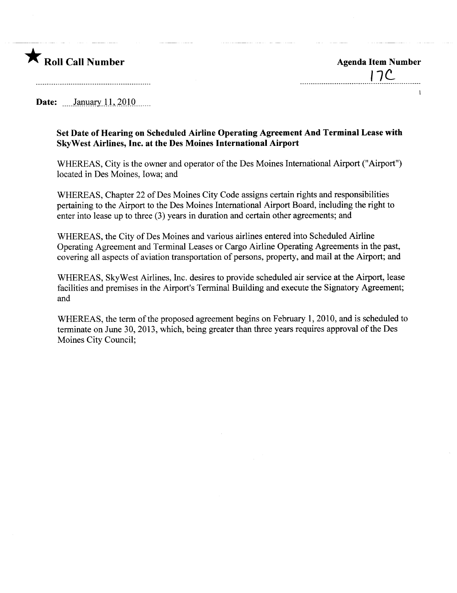

 $\mathbf{I}$ 

Date:  $\frac{\text{January } 11, 2010 \dots}{\text{January } 11, 2010 \dots}$ 

## Set Date of Hearing on Scheduled Airline Operating Agreement And Terminal Lease with SkyWest Airlines, Inc. at the Des Moines International Airport

WHEREAS, City is the owner and operator of the Des Moines International Airport ("Airport") located in Des Moines, Iowa; and

WHEREAS, Chapter 22 of Des Moines City Code assigns certain rights and responsibilities pertaining to the Airport to the Des Moines International Airport Board, including the right to enter into lease up to three (3) years in duration and certain other agreements; and

WHEREAS, the City of Des Moines and various airlines entered into Scheduled Airline Operating Agreement and Terminal Leases or Cargo Airline Operating Agreements in the past, covering all aspects of aviation transportation of persons, property, and mail at the Airport; and

WHEREAS, SkyWest Airlines, Inc. desires to provide scheduled air service at the Airport, lease facilities and premises in the Airport's Terminal Building and execute the Signatory Agreement; and

WHEREAS, the term of the proposed agreement begins on February 1, 2010, and is scheduled to terminate on June 30, 2013, which, being greater than three years requires approval of the Des Moines City Council;